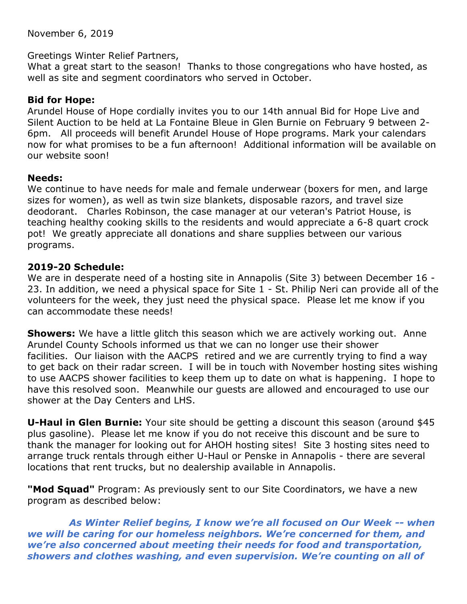November 6, 2019

#### Greetings Winter Relief Partners,

What a great start to the season! Thanks to those congregations who have hosted, as well as site and segment coordinators who served in October.

# **Bid for Hope:**

Arundel House of Hope cordially invites you to our 14th annual Bid for Hope Live and Silent Auction to be held at La Fontaine Bleue in Glen Burnie on February 9 between 2- 6pm. All proceeds will benefit Arundel House of Hope programs. Mark your calendars now for what promises to be a fun afternoon! Additional information will be available on our website soon!

# **Needs:**

We continue to have needs for male and female underwear (boxers for men, and large sizes for women), as well as twin size blankets, disposable razors, and travel size deodorant. Charles Robinson, the case manager at our veteran's Patriot House, is teaching healthy cooking skills to the residents and would appreciate a 6-8 quart crock pot! We greatly appreciate all donations and share supplies between our various programs.

# **2019-20 Schedule:**

We are in desperate need of a hosting site in Annapolis (Site 3) between December 16 - 23. In addition, we need a physical space for Site 1 - St. Philip Neri can provide all of the volunteers for the week, they just need the physical space. Please let me know if you can accommodate these needs!

**Showers:** We have a little glitch this season which we are actively working out. Anne Arundel County Schools informed us that we can no longer use their shower facilities. Our liaison with the AACPS retired and we are currently trying to find a way to get back on their radar screen. I will be in touch with November hosting sites wishing to use AACPS shower facilities to keep them up to date on what is happening. I hope to have this resolved soon. Meanwhile our guests are allowed and encouraged to use our shower at the Day Centers and LHS.

**U-Haul in Glen Burnie:** Your site should be getting a discount this season (around \$45 plus gasoline). Please let me know if you do not receive this discount and be sure to thank the manager for looking out for AHOH hosting sites! Site 3 hosting sites need to arrange truck rentals through either U-Haul or Penske in Annapolis - there are several locations that rent trucks, but no dealership available in Annapolis.

**"Mod Squad"** Program: As previously sent to our Site Coordinators, we have a new program as described below:

*As Winter Relief begins, I know we're all focused on Our Week -- when we will be caring for our homeless neighbors. We're concerned for them, and we're also concerned about meeting their needs for food and transportation, showers and clothes washing, and even supervision. We're counting on all of*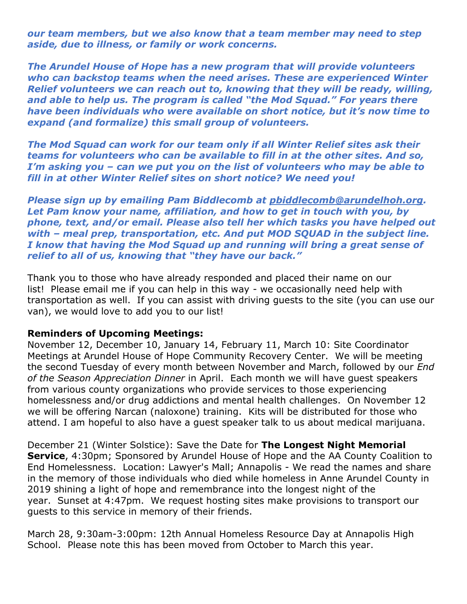*our team members, but we also know that a team member may need to step aside, due to illness, or family or work concerns.*

*The Arundel House of Hope has a new program that will provide volunteers who can backstop teams when the need arises. These are experienced Winter Relief volunteers we can reach out to, knowing that they will be ready, willing, and able to help us. The program is called "the Mod Squad." For years there have been individuals who were available on short notice, but it's now time to expand (and formalize) this small group of volunteers.*

*The Mod Squad can work for our team only if all Winter Relief sites ask their teams for volunteers who can be available to fill in at the other sites. And so, I'm asking you – can we put you on the list of volunteers who may be able to fill in at other Winter Relief sites on short notice? We need you!*

*Please sign up by emailing Pam Biddlecomb at [pbiddlecomb@arundelhoh.org.](mailto:pbiddlecomb@arundelhoh.org) Let Pam know your name, affiliation, and how to get in touch with you, by phone, text, and/or email. Please also tell her which tasks you have helped out with – meal prep, transportation, etc. And put MOD SQUAD in the subject line. I know that having the Mod Squad up and running will bring a great sense of relief to all of us, knowing that "they have our back."*

Thank you to those who have already responded and placed their name on our list! Please email me if you can help in this way - we occasionally need help with transportation as well. If you can assist with driving guests to the site (you can use our van), we would love to add you to our list!

#### **Reminders of Upcoming Meetings:**

November 12, December 10, January 14, February 11, March 10: Site Coordinator Meetings at Arundel House of Hope Community Recovery Center. We will be meeting the second Tuesday of every month between November and March, followed by our *End of the Season Appreciation Dinner* in April. Each month we will have guest speakers from various county organizations who provide services to those experiencing homelessness and/or drug addictions and mental health challenges. On November 12 we will be offering Narcan (naloxone) training. Kits will be distributed for those who attend. I am hopeful to also have a guest speaker talk to us about medical marijuana.

December 21 (Winter Solstice): Save the Date for **The Longest Night Memorial Service**, 4:30pm; Sponsored by Arundel House of Hope and the AA County Coalition to End Homelessness. Location: Lawyer's Mall; Annapolis - We read the names and share in the memory of those individuals who died while homeless in Anne Arundel County in 2019 shining a light of hope and remembrance into the longest night of the year. Sunset at 4:47pm. We request hosting sites make provisions to transport our guests to this service in memory of their friends.

March 28, 9:30am-3:00pm: 12th Annual Homeless Resource Day at Annapolis High School. Please note this has been moved from October to March this year.